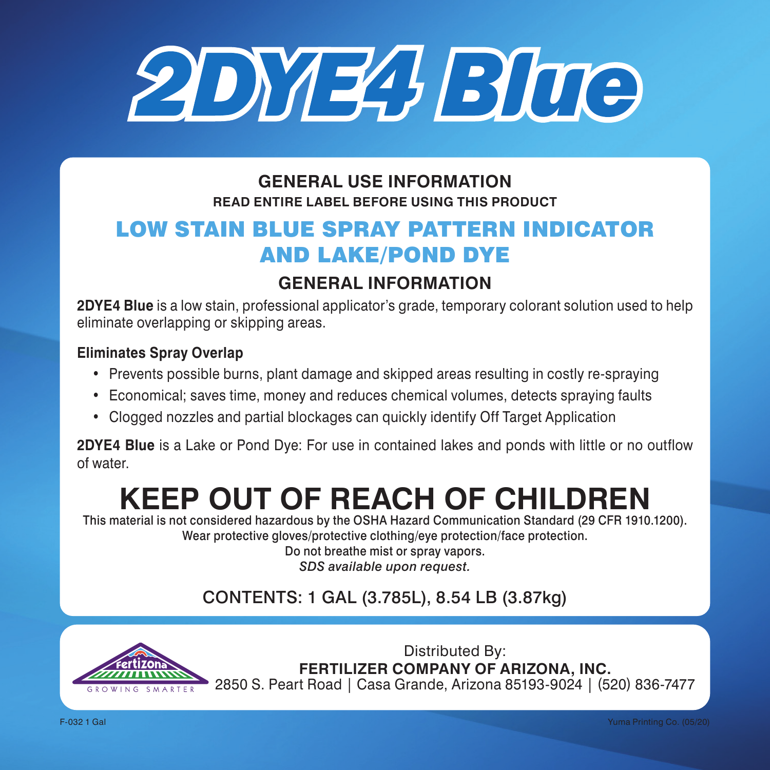

### **GENERAL USE INFORMATION READ ENTIRE LABEL BEFORE USING THIS PRODUCT**

# LOW STAIN BLUE SPRAY PATTERN INDICATOR AND LAKE/POND DYE

## **GENERAL INFORMATION**

**2DYE4 Blue** is a low stain, professional applicator's grade, temporary colorant solution used to help eliminate overlapping or skipping areas.

#### **Eliminates Spray Overlap**

- Prevents possible burns, plant damage and skipped areas resulting in costly re-spraying
- Economical; saves time, money and reduces chemical volumes, detects spraying faults
- Clogged nozzles and partial blockages can quickly identify Off Target Application

**2DYE4 Blue** is a Lake or Pond Dye: For use in contained lakes and ponds with little or no outflow of water.

# **KEEP OUT OF REACH OF CHILDREN**

This material is not considered hazardous by the OSHA Hazard Communication Standard (29 CFR 1910.1200). Wear protective gloves/protective clothing/eye protection/face protection.

Do not breathe mist or spray vapors. *SDS available upon request.*

## CONTENTS: 1 GAL (3.785L), 8.54 LB (3.87kg)



Distributed By: **FERTILIZER COMPANY OF ARIZONA, INC.** 2850 S. Peart Road | Casa Grande, Arizona 85193-9024 | (520) 836-7477